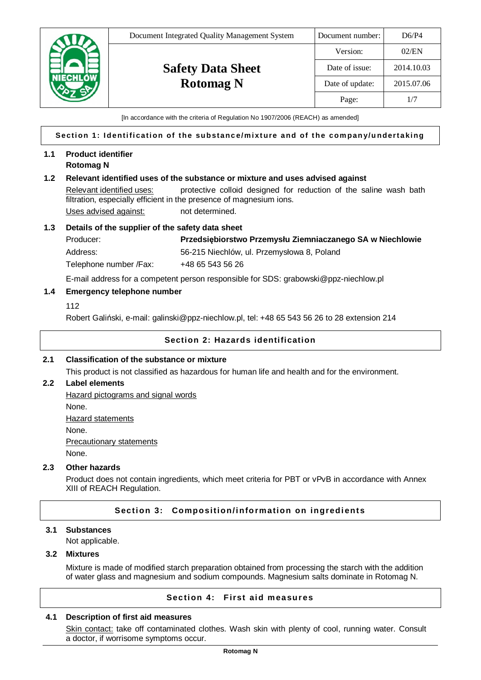

[In accordance with the criteria of Regulation No 1907/2006 (REACH) as amended]

#### **Section 1: Identification of the substance/mixture and of the company/undertaking**

## **1.1 Product identifier Rotomag N**

## **1.2 Relevant identified uses of the substance or mixture and uses advised against**

Relevant identified uses: protective colloid designed for reduction of the saline wash bath filtration, especially efficient in the presence of magnesium ions. Uses advised against: not determined.

## **1.3 Details of the supplier of the safety data sheet**

Producer: **PrzedsiĊbiorstwo Przemysáu Ziemniaczanego SA w Niechlowie** Address: 66-215 Niechlów, ul. Przemysłowa 8, Poland Telephone number /Fax: +48 65 543 56 26

E-mail address for a competent person responsible for SDS: grabowski@ppz-niechlow.pl

## **1.4 Emergency telephone number**

112

Robert Galiński, e-mail: galinski@ppz-niechlow.pl, tel: +48 65 543 56 26 to 28 extension 214

## **Section 2: Hazards identification**

# **2.1 Classification of the substance or mixture**

This product is not classified as hazardous for human life and health and for the environment.

## **2.2 Label elements**

Hazard pictograms and signal words None. Hazard statements None.

Precautionary statements

None.

## **2.3 Other hazards**

Product does not contain ingredients, which meet criteria for PBT or vPvB in accordance with Annex XIII of REACH Regulation.

## **Section 3: Composition/information on ingredients**

#### **3.1 Substances**

Not applicable.

### **3.2 Mixtures**

Mixture is made of modified starch preparation obtained from processing the starch with the addition of water glass and magnesium and sodium compounds. Magnesium salts dominate in Rotomag N.

# **Section 4: First aid measures**

## **4.1 Description of first aid measures**

Skin contact: take off contaminated clothes. Wash skin with plenty of cool, running water. Consult a doctor, if worrisome symptoms occur.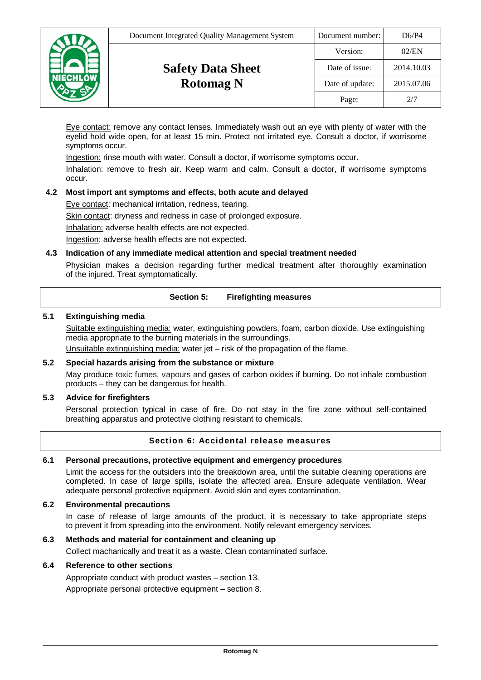| <b>ECHLÓW</b> | Document Integrated Quality Management System | Document number: | D6/P4      |
|---------------|-----------------------------------------------|------------------|------------|
|               |                                               | Version:         | 02/EN      |
|               | <b>Safety Data Sheet</b>                      | Date of issue:   | 2014.10.03 |
|               | <b>Rotomag N</b>                              | Date of update:  | 2015.07.06 |
|               |                                               | Page:            | 2/7        |

Eye contact: remove any contact lenses. Immediately wash out an eye with plenty of water with the eyelid hold wide open, for at least 15 min. Protect not irritated eye. Consult a doctor, if worrisome symptoms occur.

Ingestion: rinse mouth with water. Consult a doctor, if worrisome symptoms occur.

Inhalation: remove to fresh air. Keep warm and calm. Consult a doctor, if worrisome symptoms occur.

## **4.2 Most import ant symptoms and effects, both acute and delayed**

Eye contact: mechanical irritation, redness, tearing.

Skin contact: dryness and redness in case of prolonged exposure.

Inhalation: adverse health effects are not expected.

Ingestion: adverse health effects are not expected.

## **4.3 Indication of any immediate medical attention and special treatment needed**

Physician makes a decision regarding further medical treatment after thoroughly examination of the injured. Treat symptomatically.

## **Section 5: Firefighting measures**

## **5.1 Extinguishing media**

Suitable extinguishing media: water, extinguishing powders, foam, carbon dioxide. Use extinguishing media appropriate to the burning materials in the surroundings.

Unsuitable extinguishing media: water jet – risk of the propagation of the flame.

## **5.2 Special hazards arising from the substance or mixture**

May produce toxic fumes, vapours and gases of carbon oxides if burning. Do not inhale combustion products – they can be dangerous for health.

#### **5.3 Advice for firefighters**

Personal protection typical in case of fire. Do not stay in the fire zone without self-contained breathing apparatus and protective clothing resistant to chemicals.

## **Section 6: Accidental release measures**

## **6.1 Personal precautions, protective equipment and emergency procedures**

Limit the access for the outsiders into the breakdown area, until the suitable cleaning operations are completed. In case of large spills, isolate the affected area. Ensure adequate ventilation. Wear adequate personal protective equipment. Avoid skin and eyes contamination.

#### **6.2 Environmental precautions**

In case of release of large amounts of the product, it is necessary to take appropriate steps to prevent it from spreading into the environment. Notify relevant emergency services.

## **6.3 Methods and material for containment and cleaning up**

Collect machanically and treat it as a waste. Clean contaminated surface.

## **6.4 Reference to other sections**

Appropriate conduct with product wastes – section 13.

Appropriate personal protective equipment – section 8.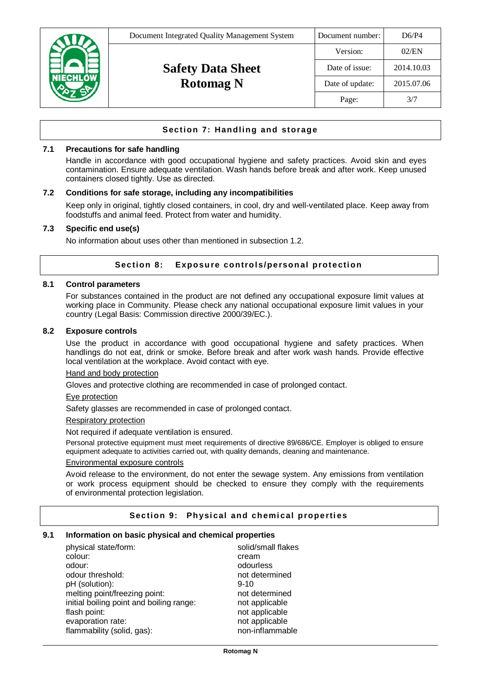

# **Section 7: Handling and storage**

## **7.1 Precautions for safe handling**

Handle in accordance with good occupational hygiene and safety practices. Avoid skin and eyes contamination. Ensure adequate ventilation. Wash hands before break and after work. Keep unused containers closed tightly. Use as directed.

#### **7.2 Conditions for safe storage, including any incompatibilities**

Keep only in original, tightly closed containers, in cool, dry and well-ventilated place. Keep away from foodstuffs and animal feed. Protect from water and humidity.

## **7.3 Specific end use(s)**

No information about uses other than mentioned in subsection 1.2.

## **Section 8: Exposure controls/personal protection**

## **8.1 Control parameters**

For substances contained in the product are not defined any occupational exposure limit values at working place in Community. Please check any national occupational exposure limit values in your country (Legal Basis: Commission directive 2000/39/EC.).

## **8.2 Exposure controls**

Use the product in accordance with good occupational hygiene and safety practices. When handlings do not eat, drink or smoke. Before break and after work wash hands. Provide effective local ventilation at the workplace. Avoid contact with eye.

#### Hand and body protection

Gloves and protective clothing are recommended in case of prolonged contact.

#### Eye protection

Safety glasses are recommended in case of prolonged contact.

#### Respiratory protection

Not required if adequate ventilation is ensured.

Personal protective equipment must meet requirements of directive 89/686/CE. Employer is obliged to ensure equipment adequate to activities carried out, with quality demands, cleaning and maintenance.

## Environmental exposure controls

Avoid release to the environment, do not enter the sewage system. Any emissions from ventilation or work process equipment should be checked to ensure they comply with the requirements of environmental protection legislation.

#### **Section 9: Physical and chemical properties**

#### **9.1 Information on basic physical and chemical properties**

| physical state/form:                     | solid/small flakes |
|------------------------------------------|--------------------|
| colour:                                  | cream              |
| odour:                                   | odourless          |
| odour threshold:                         | not determined     |
| pH (solution):                           | $9 - 10$           |
| melting point/freezing point:            | not determined     |
| initial boiling point and boiling range: | not applicable     |
| flash point:                             | not applicable     |
| evaporation rate:                        | not applicable     |
| flammability (solid, gas):               | non-inflammable    |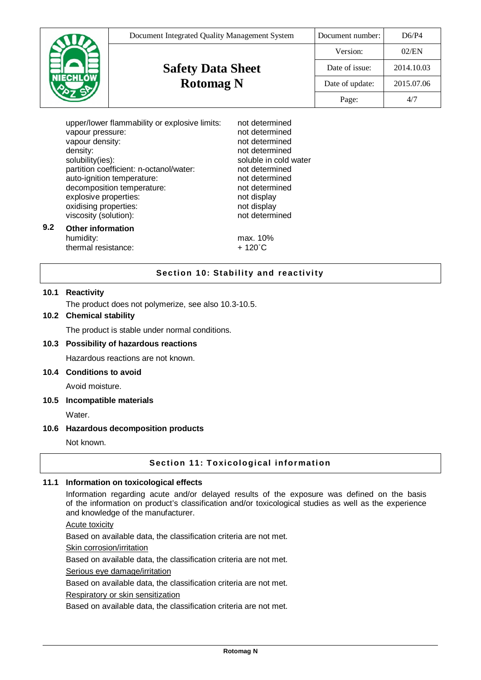|                 | Document Integrated Quality Management System | Document number: | D6/P4      |
|-----------------|-----------------------------------------------|------------------|------------|
|                 |                                               | Version:         | 02/EN      |
|                 | <b>Safety Data Sheet</b>                      | Date of issue:   | 2014.10.03 |
| <b>NIECHLÓW</b> | <b>Rotomag N</b>                              | Date of update:  | 2015.07.06 |
|                 |                                               | Page:            | 4/7        |

|     | upper/lower flammability or explosive limits:<br>vapour pressure:<br>vapour density:<br>density:<br>solubility(ies):<br>partition coefficient: n-octanol/water:<br>auto-ignition temperature:<br>decomposition temperature:<br>explosive properties:<br>oxidising properties:<br>viscosity (solution): | not determined<br>not determined<br>not determined<br>not determined<br>soluble in cold water<br>not determined<br>not determined<br>not determined<br>not display<br>not display<br>not determined |
|-----|--------------------------------------------------------------------------------------------------------------------------------------------------------------------------------------------------------------------------------------------------------------------------------------------------------|-----------------------------------------------------------------------------------------------------------------------------------------------------------------------------------------------------|
| 9.2 | <b>Other information</b><br>humidity:                                                                                                                                                                                                                                                                  | max. 10%                                                                                                                                                                                            |

thermal resistance:  $+ 120^{\circ}$ C

# **Section 10: Stability and reactivity**

## **10.1 Reactivity**

The product does not polymerize, see also 10.3-10.5.

# **10.2 Chemical stability**

The product is stable under normal conditions.

#### **10.3 Possibility of hazardous reactions**

Hazardous reactions are not known.

#### **10.4 Conditions to avoid**

Avoid moisture.

#### **10.5 Incompatible materials**

Water.

## **10.6 Hazardous decomposition products**

Not known.

## **Section 11: Toxicological information**

#### **11.1 Information on toxicological effects**

Information regarding acute and/or delayed results of the exposure was defined on the basis of the information on product's classification and/or toxicological studies as well as the experience and knowledge of the manufacturer.

Acute toxicity

Based on available data, the classification criteria are not met.

Skin corrosion/irritation

Based on available data, the classification criteria are not met.

Serious eye damage/irritation

Based on available data, the classification criteria are not met.

Respiratory or skin sensitization

Based on available data, the classification criteria are not met.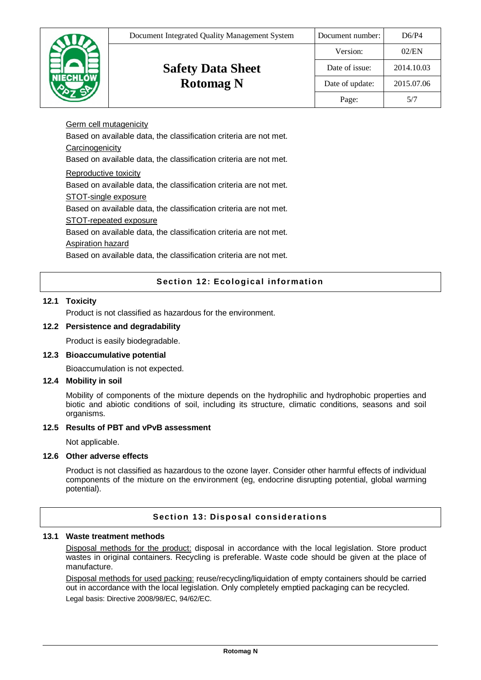|  | Document Integrated Quality Management System | Document number: | D6/P4      |
|--|-----------------------------------------------|------------------|------------|
|  |                                               | Version:         | 02/EN      |
|  | <b>Safety Data Sheet</b>                      | Date of issue:   | 2014.10.03 |
|  | <b>Rotomag N</b>                              | Date of update:  | 2015.07.06 |
|  |                                               | Page:            | 5/7        |

Germ cell mutagenicity Based on available data, the classification criteria are not met. **Carcinogenicity** Based on available data, the classification criteria are not met. Reproductive toxicity Based on available data, the classification criteria are not met. STOT-single exposure Based on available data, the classification criteria are not met. STOT-repeated exposure Based on available data, the classification criteria are not met. Aspiration hazard

Based on available data, the classification criteria are not met.

# **Section 12: Ecological information**

## **12.1 Toxicity**

Product is not classified as hazardous for the environment.

## **12.2 Persistence and degradability**

Product is easily biodegradable.

#### **12.3 Bioaccumulative potential**

Bioaccumulation is not expected.

#### **12.4 Mobility in soil**

Mobility of components of the mixture depends on the hydrophilic and hydrophobic properties and biotic and abiotic conditions of soil, including its structure, climatic conditions, seasons and soil organisms.

#### **12.5 Results of PBT and vPvB assessment**

Not applicable.

## **12.6 Other adverse effects**

Product is not classified as hazardous to the ozone layer. Consider other harmful effects of individual components of the mixture on the environment (eg, endocrine disrupting potential, global warming potential).

## **Section 13: Disposal considerations**

# **13.1 Waste treatment methods**

Disposal methods for the product: disposal in accordance with the local legislation. Store product wastes in original containers. Recycling is preferable. Waste code should be given at the place of manufacture.

Disposal methods for used packing: reuse/recycling/liquidation of empty containers should be carried out in accordance with the local legislation. Only completely emptied packaging can be recycled. Legal basis: Directive 2008/98/EC, 94/62/EC.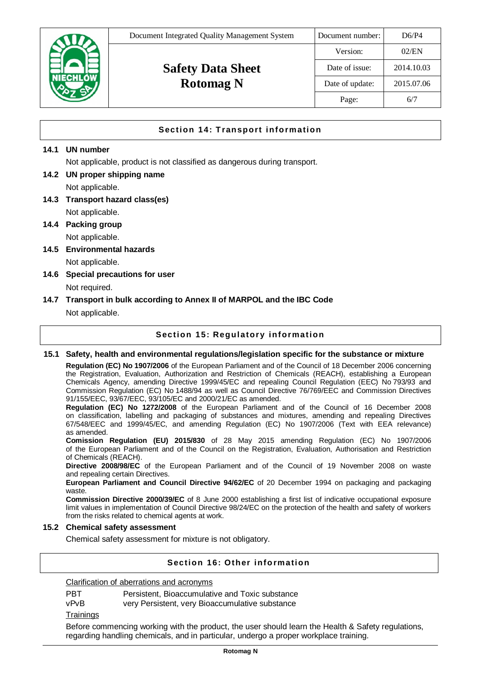| <b>NIECHLÓW</b> | Document Integrated Quality Management System | Document number: | D6/P4      |
|-----------------|-----------------------------------------------|------------------|------------|
|                 | <b>Safety Data Sheet</b><br><b>Rotomag N</b>  | Version:         | 02/EN      |
|                 |                                               | Date of issue:   | 2014.10.03 |
|                 |                                               | Date of update:  | 2015.07.06 |
|                 |                                               | Page:            | 6/7        |

# **Section 14: Transport information**

## **14.1 UN number**

Not applicable, product is not classified as dangerous during transport.

- **14.2 UN proper shipping name**  Not applicable.
- **14.3 Transport hazard class(es)**  Not applicable.
- **14.4 Packing group**  Not applicable.
- **14.5 Environmental hazards**  Not applicable.
- **14.6 Special precautions for user**  Not required.

## **14.7 Transport in bulk according to Annex II of MARPOL and the IBC Code**

Not applicable.

## **Section 15: Regulatory information**

**15.1 Safety, health and environmental regulations/legislation specific for the substance or mixture** 

**Regulation (EC) No 1907/2006** of the European Parliament and of the Council of 18 December 2006 concerning the Registration, Evaluation, Authorization and Restriction of Chemicals (REACH), establishing a European Chemicals Agency, amending Directive 1999/45/EC and repealing Council Regulation (EEC) No 793/93 and Commission Regulation (EC) No 1488/94 as well as Council Directive 76/769/EEC and Commission Directives 91/155/EEC, 93/67/EEC, 93/105/EC and 2000/21/EC as amended.

**Regulation (EC) No 1272/2008** of the European Parliament and of the Council of 16 December 2008 on classification, labelling and packaging of substances and mixtures, amending and repealing Directives 67/548/EEC and 1999/45/EC, and amending Regulation (EC) No 1907/2006 (Text with EEA relevance) as amended.

**Comission Regulation (EU) 2015/830** of 28 May 2015 amending Regulation (EC) No 1907/2006 of the European Parliament and of the Council on the Registration, Evaluation, Authorisation and Restriction of Chemicals (REACH).

**Directive 2008/98/EC** of the European Parliament and of the Council of 19 November 2008 on waste and repealing certain Directives.

**European Parliament and Council Directive 94/62/EC** of 20 December 1994 on packaging and packaging waste.

**Commission Directive 2000/39/EC** of 8 June 2000 establishing a first list of indicative occupational exposure limit values in implementation of Council Directive 98/24/EC on the protection of the health and safety of workers from the risks related to chemical agents at work.

#### **15.2 Chemical safety assessment**

Chemical safety assessment for mixture is not obligatory.

# **Section 16: Other information**

Clarification of aberrations and acronyms

| <b>PBT</b> | Persistent, Bioaccumulative and Toxic substance |
|------------|-------------------------------------------------|
| vPvB       | very Persistent, very Bioaccumulative substance |

**Trainings** 

Before commencing working with the product, the user should learn the Health & Safety regulations, regarding handling chemicals, and in particular, undergo a proper workplace training.